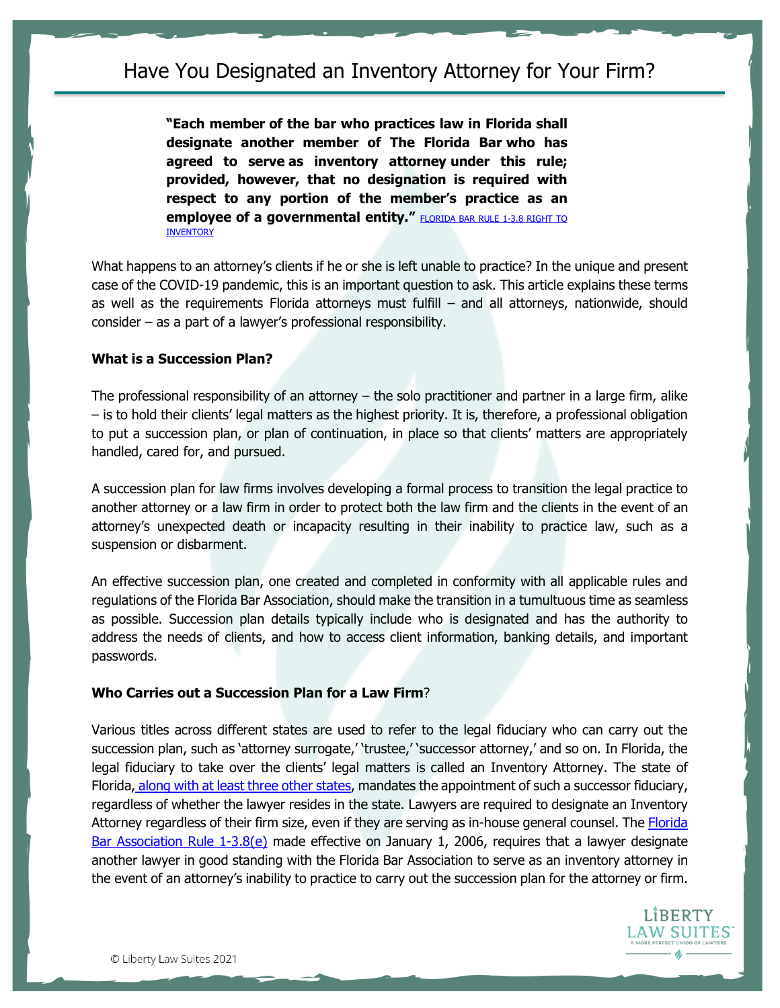**"Each member of the bar who practices law in Florida shall designate another member of The Florida Bar who has agreed to serve as inventory attorney under this rule; provided, however, that no designation is required with respect to any portion of the member's practice as an employee of a governmental entity." FLORIDA BAR RULE 1-3.8 RIGHT TO [INVENTORY](https://legalfuel.com/download/rrtfb-chapter-1-general/?wpdmdl=2622#page=6)** 

What happens to an attorney's clients if he or she is left unable to practice? In the unique and present case of the COVID-19 pandemic, this is an important question to ask. This article explains these terms as well as the requirements Florida attorneys must fulfill – and all attorneys, nationwide, should consider – as a part of a lawyer's professional responsibility.

# **What is a Succession Plan?**

The professional responsibility of an attorney  $-$  the solo practitioner and partner in a large firm, alike – is to hold their clients' legal matters as the highest priority. It is, therefore, a professional obligation to put a succession plan, or plan of continuation, in place so that clients' matters are appropriately handled, cared for, and pursued.

A succession plan for law firms involves developing a formal process to transition the legal practice to another attorney or a law firm in order to protect both the law firm and the clients in the event of an attorney's unexpected death or incapacity resulting in their inability to practice law, such as a suspension or disbarment.

An effective succession plan, one created and completed in conformity with all applicable rules and regulations of the Florida Bar Association, should make the transition in a tumultuous time as seamless as possible. Succession plan details typically include who is designated and has the authority to address the needs of clients, and how to access client information, banking details, and important passwords.

# **Who Carries out a Succession Plan for a Law Firm**?

Various titles across different states are used to refer to the legal fiduciary who can carry out the succession plan, such as 'attorney surrogate,' 'trustee,' 'successor attorney,' and so on. In Florida, the legal fiduciary to take over the clients' legal matters is called an Inventory Attorney. The state of Florida[,](https://www.americanbar.org/content/dam/aba/administrative/professional_responsibility/chart_state_by_state_caretaker_rules.pdf) along with at least [three other states,](https://www.americanbar.org/content/dam/aba/administrative/professional_responsibility/chart_state_by_state_caretaker_rules.pdf) mandates the appointment of such a successor fiduciary, regardless of whether the lawyer resides in the state. Lawyers are required to designate an Inventory Attorney regardless of their firm size, even if they are serving as in-house general counsel. The Florida [Bar Association Rule 1-3.8\(e\)](https://www.floridabar.org/the-florida-bar-news/lawyers-must-designate-an-inventory-attorney-2/) made effective on January 1, 2006, requires that a lawyer designate another lawyer in good standing with the Florida Bar Association to serve as an inventory attorney in the event of an attorney's inability to practice to carry out the succession plan for the attorney or firm.

> LIBERTY AW SUITES.

© Liberty Law Suites 2021